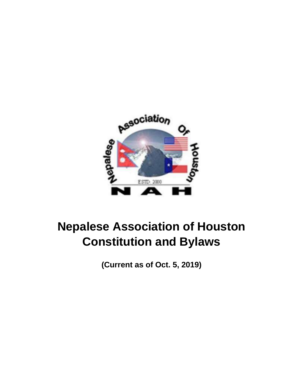

# **Nepalese Association of Houston Constitution and Bylaws**

**(Current as of Oct. 5, 2019)**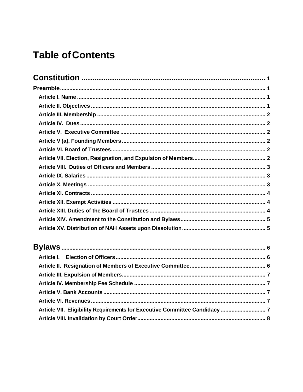## **Table of Contents**

| Article VII. Eligibility Requirements for Executive Committee Candidacy  7 |  |
|----------------------------------------------------------------------------|--|
|                                                                            |  |
|                                                                            |  |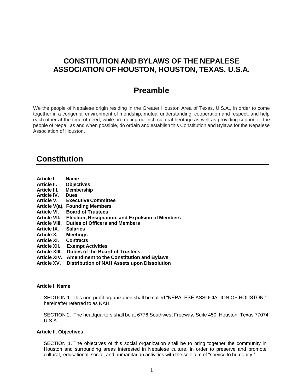### <span id="page-2-0"></span>**CONSTITUTION AND BYLAWS OF THE NEPALESE ASSOCIATION OF HOUSTON, HOUSTON, TEXAS, U.S.A.**

## **Preamble**

<span id="page-2-1"></span>We the people of Nepalese origin residing in the Greater Houston Area of Texas, U.S.A., in order to come together in a congenial environment of friendship, mutual understanding, cooperation and respect, and help each other at the time of need, while promoting our rich cultural heritage as well as providing support to the people of Nepal, as and when possible, do ordain and establish this Constitution and Bylaws for the Nepalese Association of Houston.

## **Constitution**

<span id="page-2-2"></span>

| Article I.           | <b>Name</b>                                            |
|----------------------|--------------------------------------------------------|
| Article II.          | <b>Objectives</b>                                      |
| <b>Article III.</b>  | <b>Membership</b>                                      |
| <b>Article IV.</b>   | <b>Dues</b>                                            |
| Article V.           | <b>Executive Committee</b>                             |
|                      | Article V(a). Founding Members                         |
| <b>Article VI.</b>   | <b>Board of Trustees</b>                               |
| <b>Article VII.</b>  | <b>Election, Resignation, and Expulsion of Members</b> |
| <b>Article VIII.</b> | <b>Duties of Officers and Members</b>                  |
| <b>Article IX.</b>   | <b>Salaries</b>                                        |
| Article X.           | <b>Meetings</b>                                        |
| <b>Article XI.</b>   | <b>Contracts</b>                                       |
| <b>Article XII.</b>  | <b>Exempt Activities</b>                               |
| <b>Article XIII.</b> | Duties of the Board of Trustees                        |
| <b>Article XIV.</b>  | <b>Amendment to the Constitution and Bylaws</b>        |
| <b>Article XV.</b>   | Distribution of NAH Assets upon Dissolution            |
|                      |                                                        |

#### **Article I. Name**

SECTION 1. This non-profit organization shall be called "NEPALESE ASSOCIATION OF HOUSTON," hereinafter referred to as NAH.

SECTION 2. The headquarters shall be at 6776 Southwest Freeway, Suite 450, Houston, Texas 77074, U.S.A.

#### <span id="page-2-3"></span>**Article II. Objectives**

SECTION 1. The objectives of this social organization shall be to bring together the community in Houston and surrounding areas interested in Nepalese culture, in order to preserve and promote cultural, educational, social, and humanitarian activities with the sole aim of "service to humanity."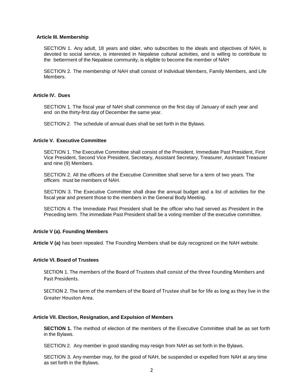#### <span id="page-3-0"></span>**Article III. Membership**

SECTION 1. Any adult, 18 years and older, who subscribes to the ideals and objectives of NAH, is devoted to social service, is interested in Nepalese cultural activities, and is willing to contribute to the betterment of the Nepalese community, is eligible to become the member of NAH

SECTION 2. The membership of NAH shall consist of Individual Members, Family Members, and Life Members.

#### <span id="page-3-1"></span>**Article IV. Dues**

SECTION 1. The fiscal year of NAH shall commence on the first day of January of each year and end on the thirty-first day of December the same year.

SECTION 2. The schedule of annual dues shall be set forth in the Bylaws.

#### <span id="page-3-2"></span>**Article V. Executive Committee**

SECTION 1. The Executive Committee shall consist of the President, Immediate Past President, First Vice President, Second Vice President, Secretary, Assistant Secretary, Treasurer, Assistant Treasurer and nine (9) Members.

SECTION 2. All the officers of the Executive Committee shall serve for a term of two years. The officers must be members of NAH.

SECTION 3. The Executive Committee shall draw the annual budget and a list of activities for the fiscal year and present those to the members in the General Body Meeting.

SECTION 4. The Immediate Past President shall be the officer who had served as President in the Preceding term. The immediate Past President shall be a voting member of the executive committee.

#### <span id="page-3-3"></span>**Article V (a). Founding Members**

**Article V (a)** has been repealed. The Founding Members shall be duly recognized on the NAH website.

#### <span id="page-3-4"></span>**Article VI. Board of Trustees**

SECTION 1. The members of the Board of Trustees shall consist of the three Founding Members and Past Presidents.

SECTION 2. The term of the members of the Board of Trustee shall be for life as long as they live in the Greater Houston Area.

#### <span id="page-3-5"></span>**Article VII. Election, Resignation, and Expulsion of Members**

**SECTION 1.** The method of election of the members of the Executive Committee shall be as set forth in the Bylaws.

SECTION 2. Any member in good standing may resign from NAH as set forth in the Bylaws.

SECTION 3. Any member may, for the good of NAH, be suspended or expelled from NAH at any time as set forth in the Bylaws.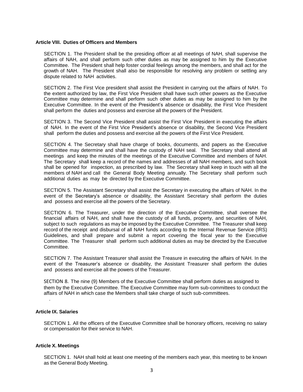#### <span id="page-4-0"></span>**Article VIII. Duties of Officers and Members**

SECTION 1. The President shall be the presiding officer at all meetings of NAH, shall supervise the affairs of NAH, and shall perform such other duties as may be assigned to him by the Executive Committee. The President shall help foster cordial feelings among the members, and shall act for the growth of NAH. The President shall also be responsible for resolving any problem or settling any dispute related to NAH activities.

SECTION 2. The First Vice president shall assist the President in carrying out the affairs of NAH. To the extent authorized by law, the First Vice President shall have such other powers as the Executive Committee may determine and shall perform such other duties as may be assigned to him by the Executive Committee. In the event of the President's absence or disability, the First Vice President shall perform the duties and possess and exercise all the powers of the President.

SECTION 3. The Second Vice President shall assist the First Vice President in executing the affairs of NAH. In the event of the First Vice President's absence or disability, the Second Vice President shall perform the duties and possess and exercise all the powers of the First Vice President.

SECTION 4. The Secretary shall have charge of books, documents, and papers as the Executive Committee may determine and shall have the custody of NAH seal. The Secretary shall attend all meetings and keep the minutes of the meetings of the Executive Committee and members of NAH. The Secretary shall keep a record of the names and addresses of all NAH members, and such book shall be opened for inspection, as prescribed by law. The Secretary shall keep in touch with all the members of NAH and call the General Body Meeting annually. The Secretary shall perform such additional duties as may be directed by the Executive Committee.

SECTION 5. The Assistant Secretary shall assist the Secretary in executing the affairs of NAH. In the event of the Secretary's absence or disability, the Assistant Secretary shall perform the duties and possess and exercise all the powers of the Secretary.

SECTION 6. The Treasurer, under the direction of the Executive Committee, shall oversee the financial affairs of NAH, and shall have the custody of all funds, property, and securities of NAH, subject to such regulations as may be imposed by the Executive Committee. The Treasurer shall keep record of the receipt and disbursal of all NAH funds according to the Internal Revenue Service (IRS) Guidelines, and shall prepare and submit a report covering the fiscal year to the Executive Committee. The Treasurer shall perform such additional duties as may be directed by the Executive Committee.

SECTION 7. The Assistant Treasurer shall assist the Treasure in executing the affairs of NAH. In the event of the Treasurer's absence or disability, the Assistant Treasurer shall perform the duties and possess and exercise all the powers of the Treasurer.

SECTION 8. The nine (9) Members of the Executive Committee shall perform duties as assigned to them by the Executive Committee. The Executive Committee may form sub-committees to conduct the affairs of NAH in which case the Members shall take charge of such sub-committees.

#### <span id="page-4-1"></span>**Article IX. Salaries**

.

SECTION 1. All the officers of the Executive Committee shall be honorary officers, receiving no salary or compensation for their service to NAH.

#### <span id="page-4-2"></span>**Article X. Meetings**

SECTION 1. NAH shall hold at least one meeting of the members each year, this meeting to be known as the General Body Meeting.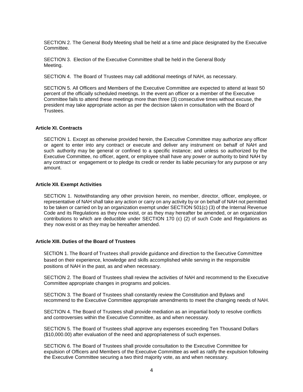SECTION 2. The General Body Meeting shall be held at a time and place designated by the Executive **Committee.** 

SECTION 3. Election of the Executive Committee shall be held in the General Body Meeting.

SECTION 4. The Board of Trustees may call additional meetings of NAH, as necessary.

SECTION 5. All Officers and Members of the Executive Committee are expected to attend at least 50 percent of the officially scheduled meetings. In the event an officer or a member of the Executive Committee fails to attend these meetings more than three (3) consecutive times without excuse, the president may take appropriate action as per the decision taken in consultation with the Board of Trustees.

#### <span id="page-5-0"></span>**Article XI. Contracts**

SECTION 1. Except as otherwise provided herein, the Executive Committee may authorize any officer or agent to enter into any contract or execute and deliver any instrument on behalf of NAH and such authority may be general or confined to a specific instance; and unless so authorized by the Executive Committee, no officer, agent, or employee shall have any power or authority to bind NAH by any contract or engagement or to pledge its credit or render its liable pecuniary for any purpose or any amount.

#### <span id="page-5-1"></span>**Article XII. Exempt Activities**

SECTION 1. Notwithstanding any other provision herein, no member, director, officer, employee, or representative of NAH shall take any action or carry on any activity by or on behalf of NAH not permitted to be taken or carried on by an organization exempt under SECTION 501(c) (3) of the Internal Revenue Code and its Regulations as they now exist, or as they may hereafter be amended, or an organization contributions to which are deductible under SECTION 170 (c) (2) of such Code and Regulations as they now exist or as they may be hereafter amended.

#### <span id="page-5-2"></span>**Article XIII. Duties of the Board of Trustees**

SECTION 1. The Board of Trustees shall provide guidance and direction to the Executive Committee based on their experience, knowledge and skills accomplished while serving in the responsible positions of NAH in the past, as and when necessary.

SECTION 2. The Board of Trustees shall review the activities of NAH and recommend to the Executive Committee appropriate changes in programs and policies.

SECTION 3. The Board of Trustees shall constantly review the Constitution and Bylaws and recommend to the Executive Committee appropriate amendments to meet the changing needs of NAH.

SECTION 4. The Board of Trustees shall provide mediation as an impartial body to resolve conflicts and controversies within the Executive Committee, as and when necessary.

SECTION 5. The Board of Trustees shall approve any expenses exceeding Ten Thousand Dollars (\$10,000.00) after evaluation of the need and appropriateness of such expenses.

SECTION 6. The Board of Trustees shall provide consultation to the Executive Committee for expulsion of Officers and Members of the Executive Committee as well as ratify the expulsion following the Executive Committee securing a two third majority vote, as and when necessary.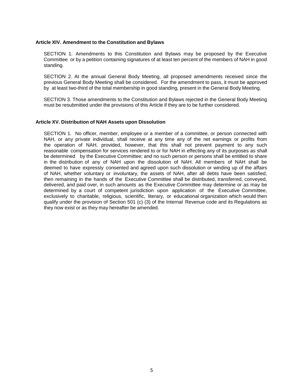#### <span id="page-6-0"></span>**Article XIV. Amendment to the Constitution and Bylaws**

SECTION 1. Amendments to this Constitution and Bylaws may be proposed by the Executive Committee or by a petition containing signatures of at least ten percent of the members of NAH in good standing.

SECTION 2. At the annual General Body Meeting, all proposed amendments received since the previous General Body Meeting shall be considered. For the amendment to pass, it must be approved by at least two-third of the total membership in good standing, present in the General Body Meeting.

SECTION 3. Those amendments to the Constitution and Bylaws rejected in the General Body Meeting must be resubmitted under the provisions of this Article if they are to be further considered.

#### <span id="page-6-1"></span>**Article XV. Distribution of NAH Assets upon Dissolution**

SECTION 1. No officer, member, employee or a member of a committee, or person connected with NAH, or any private individual, shall receive at any time any of the net earnings or profits from the operation of NAH, provided, however, that this shall not prevent payment to any such reasonable compensation for services rendered to or for NAH in effecting any of its purposes as shall be determined by the Executive Committee; and no such person or persons shall be entitled to share in the distribution of any of NAH upon the dissolution of NAH. All members of NAH shall be deemed to have expressly consented and agreed upon such dissolution or winding up of the affairs of NAH, whether voluntary or involuntary, the assets of NAH, after all debts have been satisfied, then remaining in the hands of the Executive Committee shall be distributed, transferred, conveyed, delivered, and paid over, in such amounts as the Executive Committee may determine or as may be determined by a court of competent jurisdiction upon application of the Executive Committee, exclusively to charitable, religious, scientific, literary, or educational organization which would then qualify under the provision of Section 501 (c) (3) of the Internal Revenue code and its Regulations as they now exist or as they may hereafter be amended.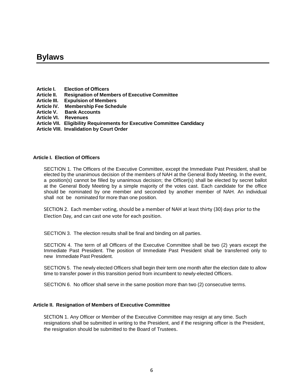## <span id="page-7-0"></span>**Bylaws**

- <span id="page-7-1"></span>**Article I. Election of Officers**
- **Article II. Resignation of Members of Executive Committee**
- **Article III. Expulsion of Members**
- **Article IV. Membership Fee Schedule**
- **Bank Accounts**
- **Article VI. Revenues**
- **Article VII. Eligibility Requirements for Executive Committee Candidacy**
- **Article VIII. Invalidation by Court Order**

#### **Article I. Election of Officers**

SECTION 1. The Officers of the Executive Committee, except the Immediate Past President, shall be elected by the unanimous decision of the members of NAH at the General Body Meeting. In the event, a position(s) cannot be filled by unanimous decision; the Officer(s) shall be elected by secret ballot at the General Body Meeting by a simple majority of the votes cast. Each candidate for the office should be nominated by one member and seconded by another member of NAH. An individual shall not be nominated for more than one position.

SECTION 2. Each member voting, should be a member of NAH at least thirty (30) days prior to the Election Day, and can cast one vote for each position.

SECTION 3. The election results shall be final and binding on all parties.

SECTION 4. The term of all Officers of the Executive Committee shall be two (2) years except the Immediate Past President. The position of Immediate Past President shall be transferred only to new Immediate Past President.

SECTION 5. The newly elected Officers shall begin their term one month after the election date to allow time to transfer power in this transition period from incumbent to newly-elected Officers.

SECTION 6. No officer shall serve in the same position more than two (2) consecutive terms.

#### <span id="page-7-2"></span>**Article II. Resignation of Members of Executive Committee**

SECTION 1. Any Officer or Member of the Executive Committee may resign at any time. Such resignations shall be submitted in writing to the President, and if the resigning officer is the President, the resignation should be submitted to the Board of Trustees.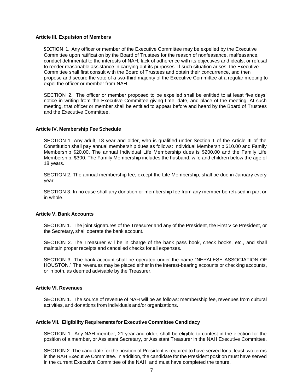#### <span id="page-8-0"></span>**Article III. Expulsion of Members**

SECTION 1. Any officer or member of the Executive Committee may be expelled by the Executive Committee upon ratification by the Board of Trustees for the reason of nonfeasance, malfeasance, conduct detrimental to the interests of NAH, lack of adherence with its objectives and ideals, or refusal to render reasonable assistance in carrying out its purposes. If such situation arises, the Executive Committee shall first consult with the Board of Trustees and obtain their concurrence, and then propose and secure the vote of a two-third majority of the Executive Committee at a regular meeting to expel the officer or member from NAH.

SECTION 2. The officer or member proposed to be expelled shall be entitled to at least five days' notice in writing from the Executive Committee giving time, date, and place of the meeting. At such meeting, that officer or member shall be entitled to appear before and heard by the Board of Trustees and the Executive Committee.

#### <span id="page-8-1"></span>**Article IV. Membership Fee Schedule**

SECTION 1. Any adult, 18 year and older, who is qualified under Section 1 of the Article III of the Constitution shall pay annual membership dues as follows: Individual Membership \$10.00 and Family Membership \$20.00. The annual Individual Life Membership dues is \$200.00 and the Family Life Membership, \$300. The Family Membership includes the husband, wife and children below the age of 18 years.

SECTION 2. The annual membership fee, except the Life Membership, shall be due in January every year.

SECTION 3. In no case shall any donation or membership fee from any member be refused in part or in whole.

#### <span id="page-8-2"></span>**Article V. Bank Accounts**

SECTION 1. The joint signatures of the Treasurer and any of the President, the First Vice President, or the Secretary, shall operate the bank account.

SECTION 2. The Treasurer will be in charge of the bank pass book, check books, etc., and shall maintain proper receipts and cancelled checks for all expenses.

SECTION 3. The bank account shall be operated under the name "NEPALESE ASSOCIATION OF HOUSTON." The revenues may be placed either in the interest-bearing accounts or checking accounts, or in both, as deemed advisable by the Treasurer.

#### <span id="page-8-3"></span>**Article VI. Revenues**

SECTION 1. The source of revenue of NAH will be as follows: membership fee, revenues from cultural activities, and donations from individuals and/or organizations.

#### <span id="page-8-4"></span>**Article VII. Eligibility Requirements for Executive Committee Candidacy**

SECTION 1. Any NAH member, 21 year and older, shall be eligible to contest in the election for the position of a member, or Assistant Secretary, or Assistant Treasurer in the NAH Executive Committee.

SECTION 2. The candidate for the position of President is required to have served for at least two terms in the NAH Executive Committee. In addition, the candidate for the President position must have served in the current Executive Committee of the NAH, and must have completed the tenure.